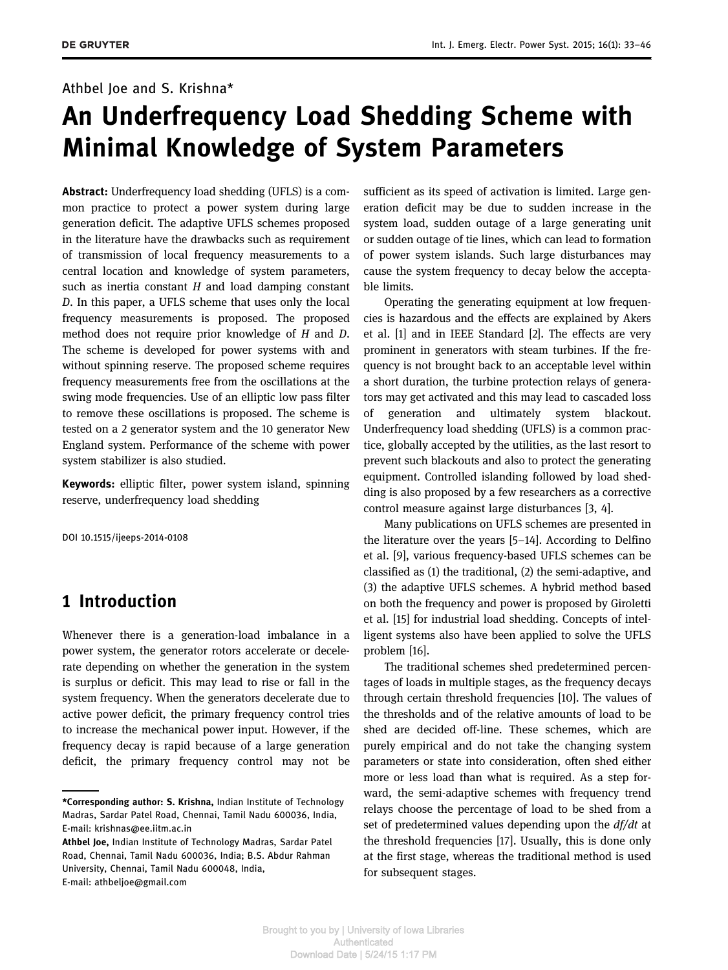### Athbel Joe and S. Krishna\*

# An Underfrequency Load Shedding Scheme with Minimal Knowledge of System Parameters

Abstract: Underfrequency load shedding (UFLS) is a common practice to protect a power system during large generation deficit. The adaptive UFLS schemes proposed in the literature have the drawbacks such as requirement of transmission of local frequency measurements to a central location and knowledge of system parameters, such as inertia constant  $H$  and load damping constant D. In this paper, a UFLS scheme that uses only the local frequency measurements is proposed. The proposed method does not require prior knowledge of H and D. The scheme is developed for power systems with and without spinning reserve. The proposed scheme requires frequency measurements free from the oscillations at the swing mode frequencies. Use of an elliptic low pass filter to remove these oscillations is proposed. The scheme is tested on a 2 generator system and the 10 generator New England system. Performance of the scheme with power system stabilizer is also studied.

Keywords: elliptic filter, power system island, spinning reserve, underfrequency load shedding

DOI 10.1515/ijeeps-2014-0108

# 1 Introduction

Whenever there is a generation-load imbalance in a power system, the generator rotors accelerate or decelerate depending on whether the generation in the system is surplus or deficit. This may lead to rise or fall in the system frequency. When the generators decelerate due to active power deficit, the primary frequency control tries to increase the mechanical power input. However, if the frequency decay is rapid because of a large generation deficit, the primary frequency control may not be sufficient as its speed of activation is limited. Large generation deficit may be due to sudden increase in the system load, sudden outage of a large generating unit or sudden outage of tie lines, which can lead to formation of power system islands. Such large disturbances may cause the system frequency to decay below the acceptable limits.

Operating the generating equipment at low frequencies is hazardous and the effects are explained by Akers et al. [1] and in IEEE Standard [2]. The effects are very prominent in generators with steam turbines. If the frequency is not brought back to an acceptable level within a short duration, the turbine protection relays of generators may get activated and this may lead to cascaded loss of generation and ultimately system blackout. Underfrequency load shedding (UFLS) is a common practice, globally accepted by the utilities, as the last resort to prevent such blackouts and also to protect the generating equipment. Controlled islanding followed by load shedding is also proposed by a few researchers as a corrective control measure against large disturbances [3, 4].

Many publications on UFLS schemes are presented in the literature over the years [5–14]. According to Delfino et al. [9], various frequency-based UFLS schemes can be classified as (1) the traditional, (2) the semi-adaptive, and (3) the adaptive UFLS schemes. A hybrid method based on both the frequency and power is proposed by Giroletti et al. [15] for industrial load shedding. Concepts of intelligent systems also have been applied to solve the UFLS problem [16].

The traditional schemes shed predetermined percentages of loads in multiple stages, as the frequency decays through certain threshold frequencies [10]. The values of the thresholds and of the relative amounts of load to be shed are decided off-line. These schemes, which are purely empirical and do not take the changing system parameters or state into consideration, often shed either more or less load than what is required. As a step forward, the semi-adaptive schemes with frequency trend relays choose the percentage of load to be shed from a set of predetermined values depending upon the df/dt at the threshold frequencies [17]. Usually, this is done only at the first stage, whereas the traditional method is used for subsequent stages.

<sup>\*</sup>Corresponding author: S. Krishna, Indian Institute of Technology Madras, Sardar Patel Road, Chennai, Tamil Nadu 600036, India, E-mail: krishnas@ee.iitm.ac.in

Athbel Joe, Indian Institute of Technology Madras, Sardar Patel Road, Chennai, Tamil Nadu 600036, India; B.S. Abdur Rahman University, Chennai, Tamil Nadu 600048, India, E-mail: athbeljoe@gmail.com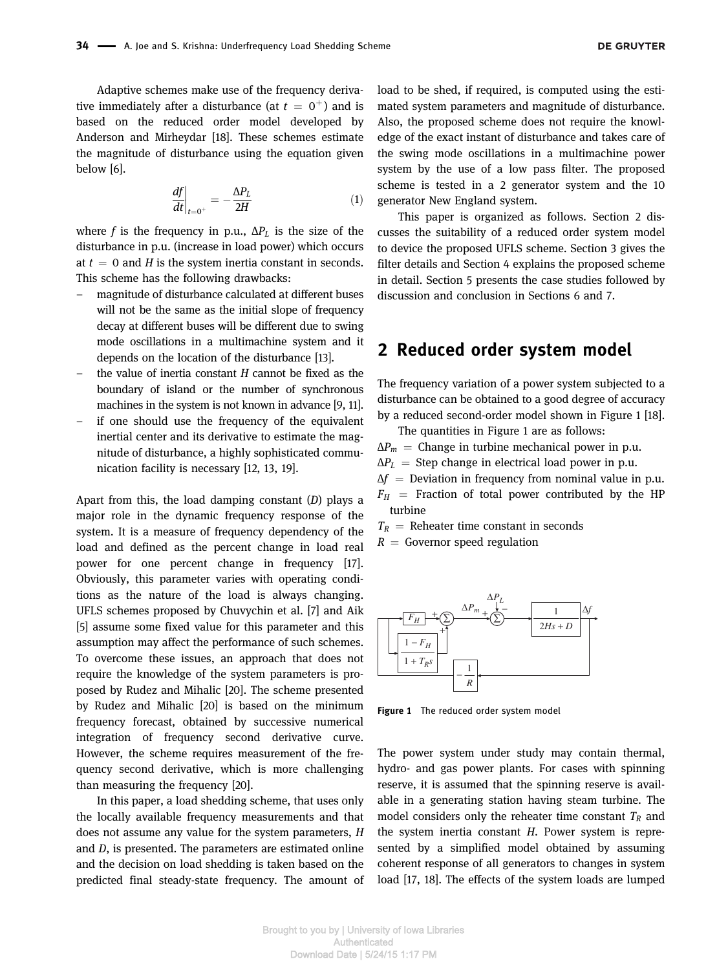Adaptive schemes make use of the frequency derivative immediately after a disturbance (at  $t\,=\,0^+)$  and is based on the reduced order model developed by Anderson and Mirheydar [18]. These schemes estimate the magnitude of disturbance using the equation given below [6].

$$
\left. \frac{df}{dt} \right|_{t=0^+} = -\frac{\Delta P_L}{2H} \tag{1}
$$

where f is the frequency in p.u.,  $\Delta P_L$  is the size of the disturbance in p.u. (increase in load power) which occurs at  $t = 0$  and H is the system inertia constant in seconds. This scheme has the following drawbacks:

- magnitude of disturbance calculated at different buses will not be the same as the initial slope of frequency decay at different buses will be different due to swing mode oscillations in a multimachine system and it depends on the location of the disturbance [13].
- the value of inertia constant  $H$  cannot be fixed as the boundary of island or the number of synchronous machines in the system is not known in advance [9, 11].
- if one should use the frequency of the equivalent inertial center and its derivative to estimate the magnitude of disturbance, a highly sophisticated communication facility is necessary [12, 13, 19].

Apart from this, the load damping constant  $(D)$  plays a major role in the dynamic frequency response of the system. It is a measure of frequency dependency of the load and defined as the percent change in load real power for one percent change in frequency [17]. Obviously, this parameter varies with operating conditions as the nature of the load is always changing. UFLS schemes proposed by Chuvychin et al. [7] and Aik [5] assume some fixed value for this parameter and this assumption may affect the performance of such schemes. To overcome these issues, an approach that does not require the knowledge of the system parameters is proposed by Rudez and Mihalic [20]. The scheme presented by Rudez and Mihalic [20] is based on the minimum frequency forecast, obtained by successive numerical integration of frequency second derivative curve. However, the scheme requires measurement of the frequency second derivative, which is more challenging than measuring the frequency [20].

In this paper, a load shedding scheme, that uses only the locally available frequency measurements and that does not assume any value for the system parameters, H and D, is presented. The parameters are estimated online and the decision on load shedding is taken based on the predicted final steady-state frequency. The amount of

load to be shed, if required, is computed using the estimated system parameters and magnitude of disturbance. Also, the proposed scheme does not require the knowledge of the exact instant of disturbance and takes care of the swing mode oscillations in a multimachine power system by the use of a low pass filter. The proposed scheme is tested in a 2 generator system and the 10 generator New England system.

This paper is organized as follows. Section 2 discusses the suitability of a reduced order system model to device the proposed UFLS scheme. Section 3 gives the filter details and Section 4 explains the proposed scheme in detail. Section 5 presents the case studies followed by discussion and conclusion in Sections 6 and 7.

## 2 Reduced order system model

The frequency variation of a power system subjected to a disturbance can be obtained to a good degree of accuracy by a reduced second-order model shown in Figure 1 [18].

The quantities in Figure 1 are as follows:

- $\Delta P_m$  = Change in turbine mechanical power in p.u.
- $\Delta P_L$  = Step change in electrical load power in p.u.
- $\Delta f$  = Deviation in frequency from nominal value in p.u.
- $F_H$  = Fraction of total power contributed by the HP turbine

 $T_R$  = Reheater time constant in seconds

 $R =$  Governor speed regulation



Figure 1 The reduced order system model

The power system under study may contain thermal, hydro- and gas power plants. For cases with spinning reserve, it is assumed that the spinning reserve is available in a generating station having steam turbine. The model considers only the reheater time constant  $T_R$  and the system inertia constant  $H$ . Power system is represented by a simplified model obtained by assuming coherent response of all generators to changes in system load [17, 18]. The effects of the system loads are lumped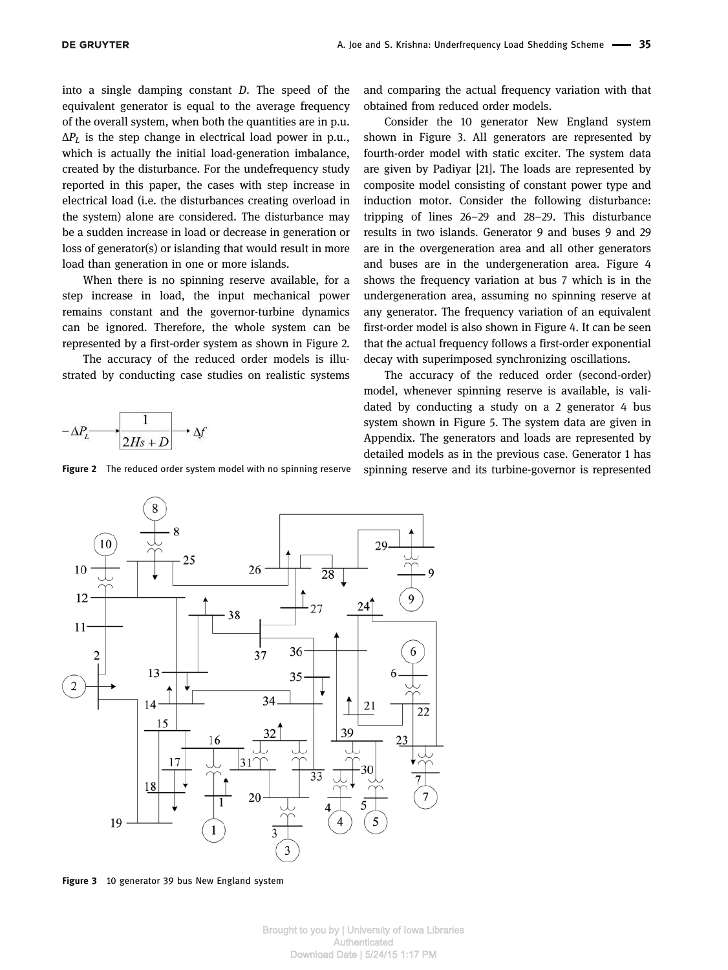into a single damping constant D. The speed of the equivalent generator is equal to the average frequency of the overall system, when both the quantities are in p.u.  $\Delta P_L$  is the step change in electrical load power in p.u., which is actually the initial load-generation imbalance, created by the disturbance. For the undefrequency study reported in this paper, the cases with step increase in electrical load (i.e. the disturbances creating overload in the system) alone are considered. The disturbance may be a sudden increase in load or decrease in generation or loss of generator(s) or islanding that would result in more load than generation in one or more islands.

When there is no spinning reserve available, for a step increase in load, the input mechanical power remains constant and the governor-turbine dynamics can be ignored. Therefore, the whole system can be represented by a first-order system as shown in Figure 2.

The accuracy of the reduced order models is illustrated by conducting case studies on realistic systems

$$
-\Delta P_L \longrightarrow \frac{1}{2Hs+D} \longrightarrow \Delta f
$$

and comparing the actual frequency variation with that obtained from reduced order models.

Consider the 10 generator New England system shown in Figure 3. All generators are represented by fourth-order model with static exciter. The system data are given by Padiyar [21]. The loads are represented by composite model consisting of constant power type and induction motor. Consider the following disturbance: tripping of lines 26–29 and 28–29. This disturbance results in two islands. Generator 9 and buses 9 and 29 are in the overgeneration area and all other generators and buses are in the undergeneration area. Figure 4 shows the frequency variation at bus 7 which is in the undergeneration area, assuming no spinning reserve at any generator. The frequency variation of an equivalent first-order model is also shown in Figure 4. It can be seen that the actual frequency follows a first-order exponential decay with superimposed synchronizing oscillations.

The accuracy of the reduced order (second-order) model, whenever spinning reserve is available, is validated by conducting a study on a 2 generator 4 bus system shown in Figure 5. The system data are given in Appendix. The generators and loads are represented by detailed models as in the previous case. Generator 1 has Figure 2 The reduced order system model with no spinning reserve spinning reserve and its turbine-governor is represented



Figure 3 10 generator 39 bus New England system

Brought to you by | University of Iowa Libraries Authenticated Download Date | 5/24/15 1:17 PM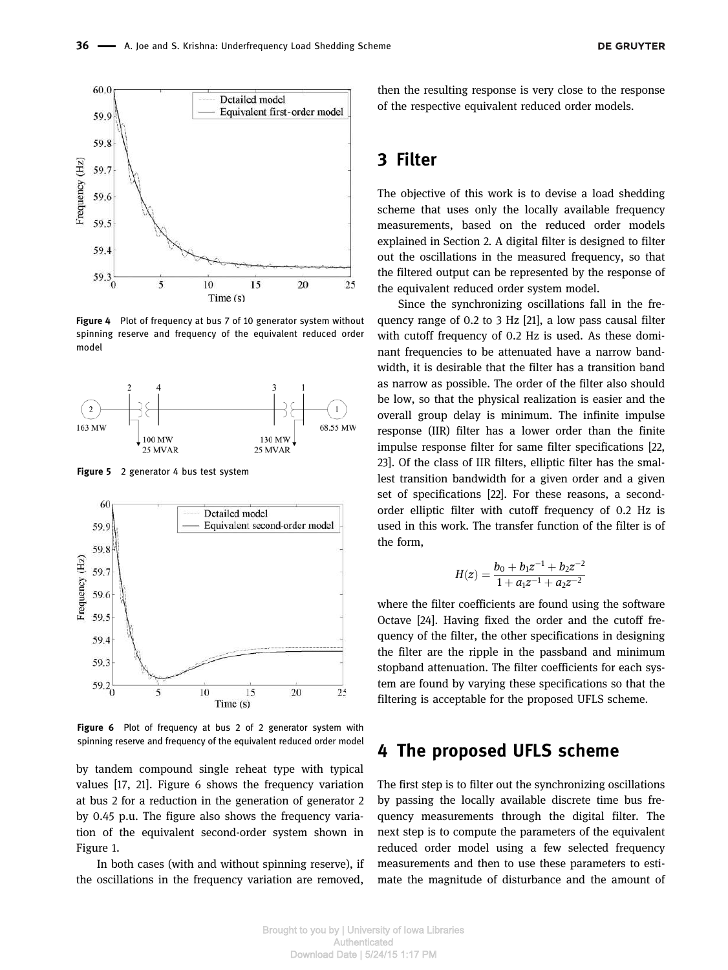

Figure 4 Plot of frequency at bus 7 of 10 generator system without spinning reserve and frequency of the equivalent reduced order model



Figure 5 2 generator 4 bus test system



Figure 6 Plot of frequency at bus 2 of 2 generator system with spinning reserve and frequency of the equivalent reduced order model

by tandem compound single reheat type with typical values [17, 21]. Figure 6 shows the frequency variation at bus 2 for a reduction in the generation of generator 2 by 0.45 p.u. The figure also shows the frequency variation of the equivalent second-order system shown in Figure 1.

In both cases (with and without spinning reserve), if the oscillations in the frequency variation are removed,

then the resulting response is very close to the response of the respective equivalent reduced order models.

### 3 Filter

The objective of this work is to devise a load shedding scheme that uses only the locally available frequency measurements, based on the reduced order models explained in Section 2. A digital filter is designed to filter out the oscillations in the measured frequency, so that the filtered output can be represented by the response of the equivalent reduced order system model.

Since the synchronizing oscillations fall in the frequency range of 0.2 to 3 Hz [21], a low pass causal filter with cutoff frequency of 0.2 Hz is used. As these dominant frequencies to be attenuated have a narrow bandwidth, it is desirable that the filter has a transition band as narrow as possible. The order of the filter also should be low, so that the physical realization is easier and the overall group delay is minimum. The infinite impulse response (IIR) filter has a lower order than the finite impulse response filter for same filter specifications [22, 23]. Of the class of IIR filters, elliptic filter has the smallest transition bandwidth for a given order and a given set of specifications [22]. For these reasons, a secondorder elliptic filter with cutoff frequency of 0.2 Hz is used in this work. The transfer function of the filter is of the form,

$$
H(z) = \frac{b_0 + b_1 z^{-1} + b_2 z^{-2}}{1 + a_1 z^{-1} + a_2 z^{-2}}
$$

where the filter coefficients are found using the software Octave [24]. Having fixed the order and the cutoff frequency of the filter, the other specifications in designing the filter are the ripple in the passband and minimum stopband attenuation. The filter coefficients for each system are found by varying these specifications so that the filtering is acceptable for the proposed UFLS scheme.

### 4 The proposed UFLS scheme

The first step is to filter out the synchronizing oscillations by passing the locally available discrete time bus frequency measurements through the digital filter. The next step is to compute the parameters of the equivalent reduced order model using a few selected frequency measurements and then to use these parameters to estimate the magnitude of disturbance and the amount of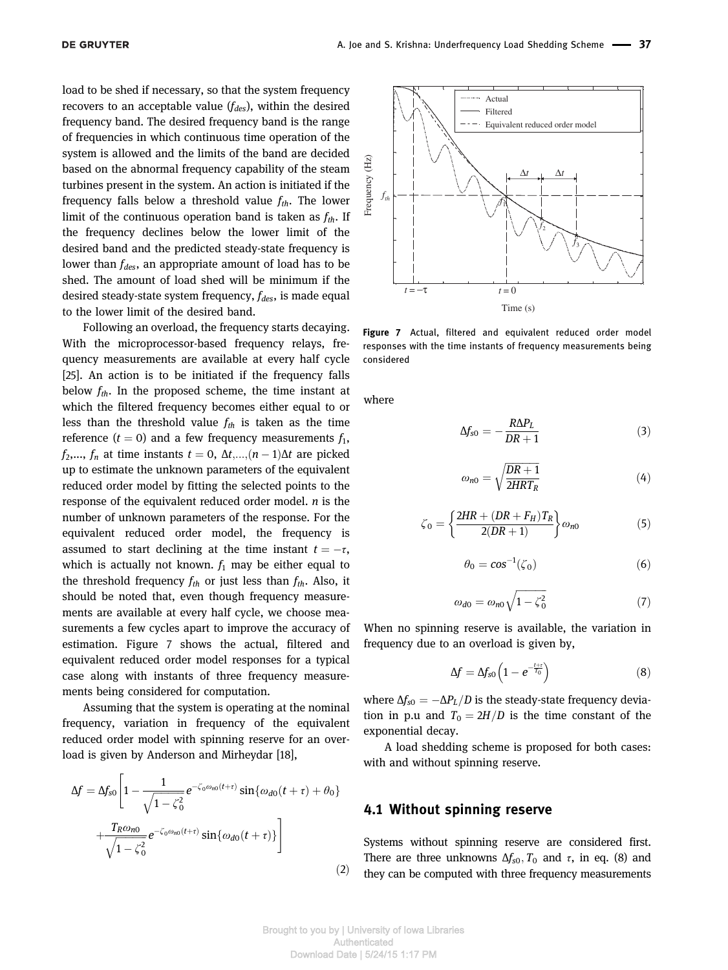load to be shed if necessary, so that the system frequency recovers to an acceptable value  $(f_{des})$ , within the desired frequency band. The desired frequency band is the range of frequencies in which continuous time operation of the system is allowed and the limits of the band are decided based on the abnormal frequency capability of the steam turbines present in the system. An action is initiated if the frequency falls below a threshold value  $f_{th}$ . The lower limit of the continuous operation band is taken as  $f_{th}$ . If the frequency declines below the lower limit of the desired band and the predicted steady-state frequency is lower than  $f_{des}$ , an appropriate amount of load has to be shed. The amount of load shed will be minimum if the desired steady-state system frequency,  $f_{des}$ , is made equal to the lower limit of the desired band.

Following an overload, the frequency starts decaying. With the microprocessor-based frequency relays, frequency measurements are available at every half cycle [25]. An action is to be initiated if the frequency falls below  $f_{th}$ . In the proposed scheme, the time instant at which the filtered frequency becomes either equal to or less than the threshold value  $f_{th}$  is taken as the time reference  $(t=0)$  and a few frequency measurements  $f_1,$  $f_2,..., f_n$  at time instants  $t = 0, \Delta t,...,(n-1)\Delta t$  are picked up to estimate the unknown parameters of the equivalent reduced order model by fitting the selected points to the response of the equivalent reduced order model.  $n$  is the number of unknown parameters of the response. For the equivalent reduced order model, the frequency is assumed to start declining at the time instant  $t = -\tau$ , which is actually not known.  $f_1$  may be either equal to the threshold frequency  $f_{th}$  or just less than  $f_{th}$ . Also, it should be noted that, even though frequency measurements are available at every half cycle, we choose measurements a few cycles apart to improve the accuracy of estimation. Figure 7 shows the actual, filtered and equivalent reduced order model responses for a typical case along with instants of three frequency measurements being considered for computation.

Assuming that the system is operating at the nominal frequency, variation in frequency of the equivalent reduced order model with spinning reserve for an overload is given by Anderson and Mirheydar [18],

$$
\Delta f = \Delta f_{\rm SO} \left[ 1 - \frac{1}{\sqrt{1 - \zeta_0^2}} e^{-\zeta_0 \omega_{n0}(t+\tau)} \sin{\omega_{d0}(t+\tau)} + \theta_0 \right]
$$

$$
+ \frac{T_R \omega_{n0}}{\sqrt{1 - \zeta_0^2}} e^{-\zeta_0 \omega_{n0}(t+\tau)} \sin{\omega_{d0}(t+\tau)} \right]
$$
(2)



Figure 7 Actual, filtered and equivalent reduced order model responses with the time instants of frequency measurements being considered

where

$$
\Delta f_{\rm s0} = -\frac{R\Delta P_L}{DR+1} \tag{3}
$$

$$
\omega_{n0} = \sqrt{\frac{DR+1}{2HRT_R}}\tag{4}
$$

$$
\zeta_0 = \left\{ \frac{2HR + (DR + F_H)T_R}{2(DR + 1)} \right\} \omega_{n0}
$$
\n<sup>(5)</sup>

$$
\theta_0 = \cos^{-1}(\zeta_0) \tag{6}
$$

$$
\omega_{d0} = \omega_{n0} \sqrt{1 - \zeta_0^2} \tag{7}
$$

When no spinning reserve is available, the variation in frequency due to an overload is given by,

$$
\Delta f = \Delta f_{\rm s0} \left( 1 - e^{-\frac{t+\tau}{T_0}} \right) \tag{8}
$$

where  $\Delta f_{\rm so} = -\Delta P_L/D$  is the steady-state frequency deviation in p.u and  $T_0 = 2H/D$  is the time constant of the exponential decay.

A load shedding scheme is proposed for both cases: with and without spinning reserve.

### 4.1 Without spinning reserve

Systems without spinning reserve are considered first. There are three unknowns  $\Delta f_{\rm s0}$ ,  $T_0$  and  $\tau$ , in eq. (8) and they can be computed with three frequency measurements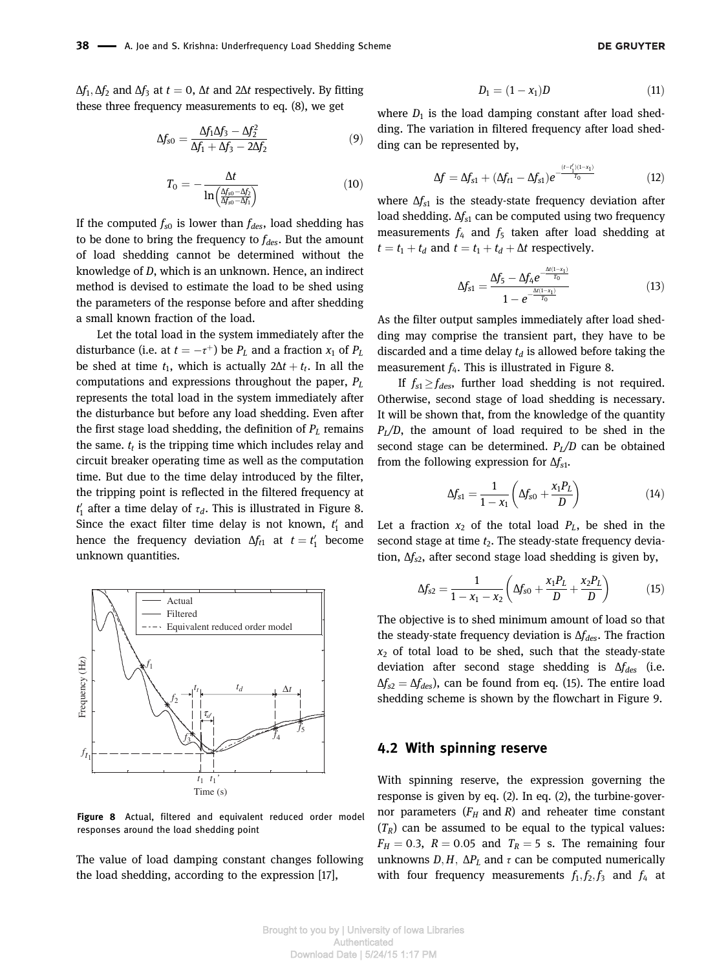$$
\Delta f_{s0} = \frac{\Delta f_1 \Delta f_3 - \Delta f_2^2}{\Delta f_1 + \Delta f_3 - 2\Delta f_2} \tag{9}
$$

$$
T_0 = -\frac{\Delta t}{\ln\left(\frac{\Delta f_{\rm s0} - \Delta f_2}{\Delta f_{\rm s0} - \Delta f_1}\right)}\tag{10}
$$

If the computed  $f_{s0}$  is lower than  $f_{des}$ , load shedding has to be done to bring the frequency to  $f_{des}$ . But the amount of load shedding cannot be determined without the knowledge of D, which is an unknown. Hence, an indirect method is devised to estimate the load to be shed using the parameters of the response before and after shedding a small known fraction of the load.

Let the total load in the system immediately after the disturbance (i.e. at  $t = -\tau^+$ ) be  $P_L$  and a fraction  $x_1$  of  $P_L$ be shed at time  $t_1$ , which is actually  $2\Delta t + t_t$ . In all the computations and expressions throughout the paper,  $P_L$ represents the total load in the system immediately after the disturbance but before any load shedding. Even after the first stage load shedding, the definition of  $P<sub>L</sub>$  remains the same.  $t_t$  is the tripping time which includes relay and circuit breaker operating time as well as the computation time. But due to the time delay introduced by the filter, the tripping point is reflected in the filtered frequency at  $t'_1$  after a time delay of  $\tau_d$ . This is illustrated in Figure 8. Since the exact filter time delay is not known,  $t_1$  and hence the frequency deviation  $\Delta f_{t1}$  at  $t = t'_1$  become unknown quantities.



Figure 8 Actual, filtered and equivalent reduced order model responses around the load shedding point

The value of load damping constant changes following the load shedding, according to the expression [17],

 $D_1 = (1 - x_1)D$  (11)

where  $D_1$  is the load damping constant after load shedding. The variation in filtered frequency after load shedding can be represented by,

$$
\Delta f = \Delta f_{s1} + (\Delta f_{t1} - \Delta f_{s1})e^{-\frac{(t-t'_1)(1-x_1)}{T_0}}
$$
(12)

where  $\Delta f_{s1}$  is the steady-state frequency deviation after load shedding.  $\Delta f_{s1}$  can be computed using two frequency measurements  $f_4$  and  $f_5$  taken after load shedding at  $t = t_1 + t_d$  and  $t = t_1 + t_d + \Delta t$  respectively.

$$
\Delta f_{s1} = \frac{\Delta f_5 - \Delta f_4 e^{-\frac{\Delta t (1 - x_1)}{T_0}}}{1 - e^{-\frac{\Delta t (1 - x_1)}{T_0}}}
$$
(13)

As the filter output samples immediately after load shedding may comprise the transient part, they have to be discarded and a time delay  $t_d$  is allowed before taking the measurement  $f_4$ . This is illustrated in Figure 8.

If  $f_{s1} \ge f_{des}$ , further load shedding is not required. Otherwise, second stage of load shedding is necessary. It will be shown that, from the knowledge of the quantity  $P_I/D$ , the amount of load required to be shed in the second stage can be determined.  $P_L/D$  can be obtained from the following expression for  $\Delta f_{s1}$ .

$$
\Delta f_{s1} = \frac{1}{1 - x_1} \left( \Delta f_{s0} + \frac{x_1 P_L}{D} \right) \tag{14}
$$

Let a fraction  $x_2$  of the total load  $P_L$ , be shed in the second stage at time  $t_2$ . The steady-state frequency deviation,  $\Delta f_{s2}$ , after second stage load shedding is given by,

$$
\Delta f_{s2} = \frac{1}{1 - x_1 - x_2} \left( \Delta f_{s0} + \frac{x_1 P_L}{D} + \frac{x_2 P_L}{D} \right) \tag{15}
$$

The objective is to shed minimum amount of load so that the steady-state frequency deviation is  $\Delta f_{des}$ . The fraction  $x_2$  of total load to be shed, such that the steady-state deviation after second stage shedding is  $\Delta f_{des}$  (i.e.  $\Delta f_{s2} = \Delta f_{des}$ , can be found from eq. (15). The entire load shedding scheme is shown by the flowchart in Figure 9.

### 4.2 With spinning reserve

With spinning reserve, the expression governing the response is given by eq. (2). In eq. (2), the turbine-governor parameters  $(F_H \text{ and } R)$  and reheater time constant  $(T_R)$  can be assumed to be equal to the typical values:  $F_H = 0.3$ ,  $R = 0.05$  and  $T_R = 5$  s. The remaining four unknowns  $D, H$ ,  $\Delta P_L$  and  $\tau$  can be computed numerically with four frequency measurements  $f_1, f_2, f_3$  and  $f_4$  at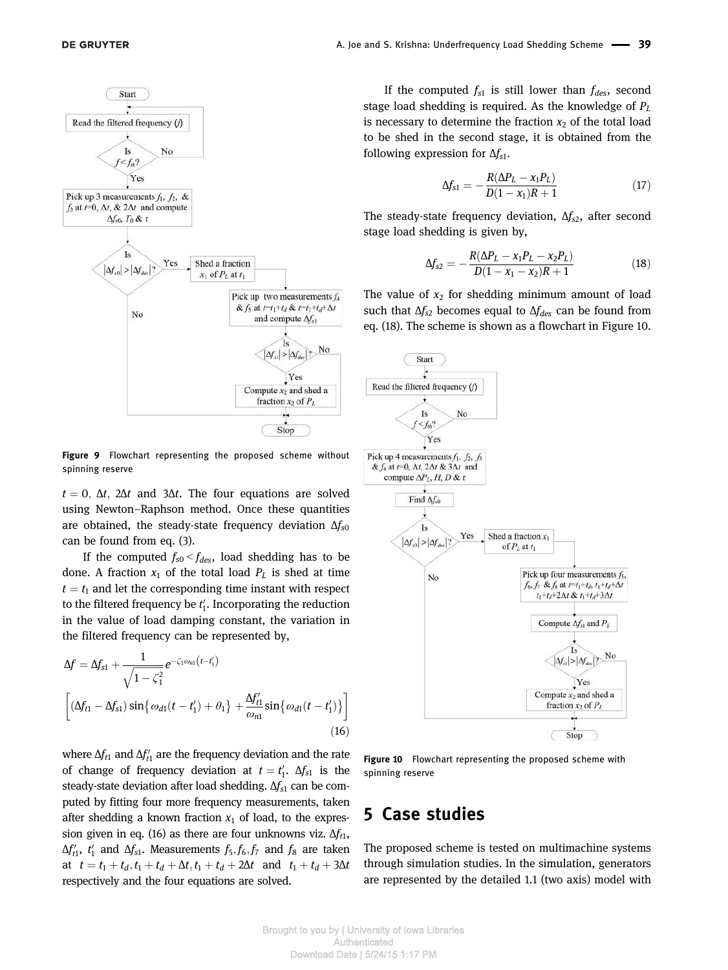

Figure 9 Flowchart representing the proposed scheme without spinning reserve

 $t = 0$ ,  $\Delta t$ , 2 $\Delta t$  and 3 $\Delta t$ . The four equations are solved using Newton–Raphson method. Once these quantities are obtained, the steady-state frequency deviation  $\Delta f_{\text{SO}}$ can be found from eq. (3).

If the computed  $f_{s0} < f_{des}$ , load shedding has to be done. A fraction  $x_1$  of the total load  $P_L$  is shed at time  $t = t<sub>1</sub>$  and let the corresponding time instant with respect to the filtered frequency be  $t'_1$ . Incorporating the reduction in the value of load damping constant, the variation in the filtered frequency can be represented by,

$$
\Delta f = \Delta f_{s1} + \frac{1}{\sqrt{1 - \zeta_1^2}} e^{-\zeta_1 \omega_{n1}(t - t_1')}
$$

$$
\left[ (\Delta f_{t1} - \Delta f_{s1}) \sin \left\{ \omega_{d1}(t - t_1') + \theta_1 \right\} + \frac{\Delta f_{t1}'}{\omega_{n1}} \sin \left\{ \omega_{d1}(t - t_1') \right\} \right]
$$
(16)

where  $\Delta f_{t1}$  and  $\Delta f_{t1}'$  are the frequency deviation and the rate of change of frequency deviation at  $t = t'_1$ .  $\Delta f_{s1}$  is the steady-state deviation after load shedding.  $\Delta f_{s1}$  can be computed by fitting four more frequency measurements, taken after shedding a known fraction  $x_1$  of load, to the expression given in eq. (16) as there are four unknowns viz.  $\Delta f_{t1}$ ,  $\Delta f'_{i1}$ ,  $t'_1$  and  $\Delta f_{s1}$ . Measurements  $f_5, f_6, f_7$  and  $f_8$  are taken at  $t = t_1 + t_d, t_1 + t_d + \Delta t, t_1 + t_d + 2\Delta t$  and  $t_1 + t_d + 3\Delta t$ respectively and the four equations are solved.

If the computed  $f_{s1}$  is still lower than  $f_{des}$ , second stage load shedding is required. As the knowledge of  $P_I$ is necessary to determine the fraction  $x_2$  of the total load to be shed in the second stage, it is obtained from the following expression for  $\Delta f_{s1}$ .

$$
\Delta f_{s1} = -\frac{R(\Delta P_L - x_1 P_L)}{D(1 - x_1)R + 1} \tag{17}
$$

The steady-state frequency deviation,  $\Delta f_{s2}$ , after second stage load shedding is given by,

$$
\Delta f_{s2} = -\frac{R(\Delta P_L - x_1 P_L - x_2 P_L)}{D(1 - x_1 - x_2)R + 1}
$$
(18)

The value of  $x_2$  for shedding minimum amount of load such that  $\Delta f_{s2}$  becomes equal to  $\Delta f_{des}$  can be found from eq. (18). The scheme is shown as a flowchart in Figure 10.



Figure 10 Flowchart representing the proposed scheme with spinning reserve

## 5 Case studies

The proposed scheme is tested on multimachine systems through simulation studies. In the simulation, generators are represented by the detailed 1.1 (two axis) model with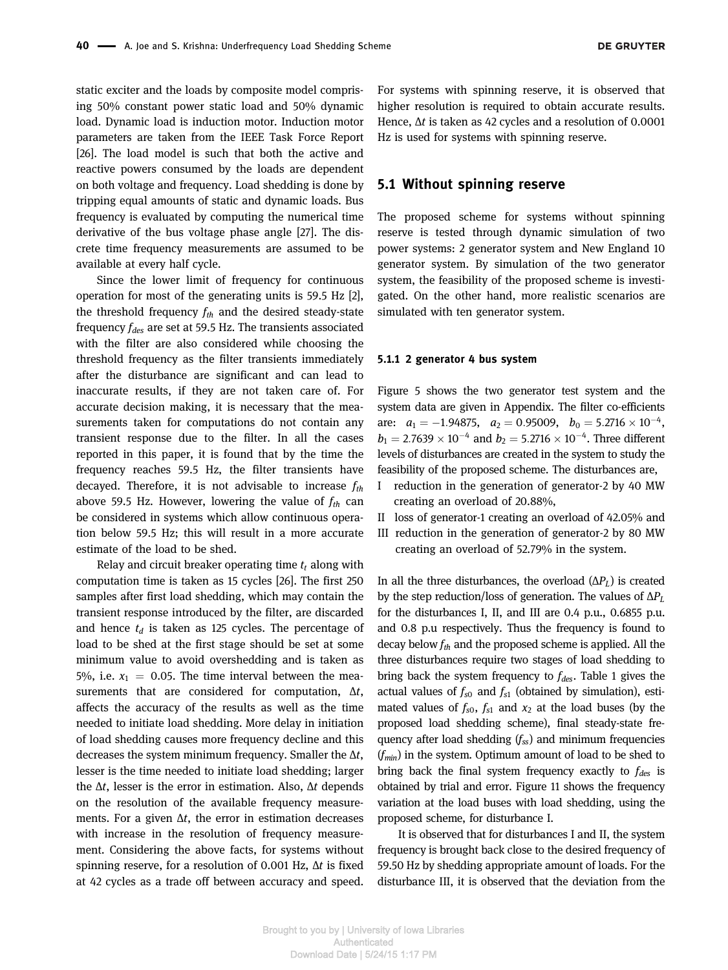static exciter and the loads by composite model comprising 50% constant power static load and 50% dynamic load. Dynamic load is induction motor. Induction motor parameters are taken from the IEEE Task Force Report [26]. The load model is such that both the active and reactive powers consumed by the loads are dependent on both voltage and frequency. Load shedding is done by tripping equal amounts of static and dynamic loads. Bus frequency is evaluated by computing the numerical time derivative of the bus voltage phase angle [27]. The discrete time frequency measurements are assumed to be available at every half cycle.

Since the lower limit of frequency for continuous operation for most of the generating units is 59.5 Hz [2], the threshold frequency  $f_{th}$  and the desired steady-state frequency  $f_{des}$  are set at 59.5 Hz. The transients associated with the filter are also considered while choosing the threshold frequency as the filter transients immediately after the disturbance are significant and can lead to inaccurate results, if they are not taken care of. For accurate decision making, it is necessary that the measurements taken for computations do not contain any transient response due to the filter. In all the cases reported in this paper, it is found that by the time the frequency reaches 59.5 Hz, the filter transients have decayed. Therefore, it is not advisable to increase  $f_{th}$ above 59.5 Hz. However, lowering the value of  $f_{th}$  can be considered in systems which allow continuous operation below 59.5 Hz; this will result in a more accurate estimate of the load to be shed.

Relay and circuit breaker operating time  $t_t$  along with computation time is taken as 15 cycles [26]. The first 250 samples after first load shedding, which may contain the transient response introduced by the filter, are discarded and hence  $t_d$  is taken as 125 cycles. The percentage of load to be shed at the first stage should be set at some minimum value to avoid overshedding and is taken as 5%, i.e.  $x_1 = 0.05$ . The time interval between the measurements that are considered for computation,  $\Delta t$ , affects the accuracy of the results as well as the time needed to initiate load shedding. More delay in initiation of load shedding causes more frequency decline and this decreases the system minimum frequency. Smaller the  $\Delta t$ , lesser is the time needed to initiate load shedding; larger the  $\Delta t$ , lesser is the error in estimation. Also,  $\Delta t$  depends on the resolution of the available frequency measurements. For a given  $\Delta t$ , the error in estimation decreases with increase in the resolution of frequency measurement. Considering the above facts, for systems without spinning reserve, for a resolution of 0.001 Hz,  $\Delta t$  is fixed at 42 cycles as a trade off between accuracy and speed.

For systems with spinning reserve, it is observed that higher resolution is required to obtain accurate results. Hence, Δt is taken as 42 cycles and a resolution of 0.0001 Hz is used for systems with spinning reserve.

### 5.1 Without spinning reserve

The proposed scheme for systems without spinning reserve is tested through dynamic simulation of two power systems: 2 generator system and New England 10 generator system. By simulation of the two generator system, the feasibility of the proposed scheme is investigated. On the other hand, more realistic scenarios are simulated with ten generator system.

#### 5.1.1 2 generator 4 bus system

Figure 5 shows the two generator test system and the system data are given in Appendix. The filter co-efficients are:  $a_1 = -1.94875$ ,  $a_2 = 0.95009$ ,  $b_0 = 5.2716 \times 10^{-4}$ ,  $b_1 = 2.7639 \times 10^{-4}$  and  $b_2 = 5.2716 \times 10^{-4}$ . Three different levels of disturbances are created in the system to study the feasibility of the proposed scheme. The disturbances are,

- I reduction in the generation of generator-2 by 40 MW creating an overload of 20.88%,
- II loss of generator-1 creating an overload of 42.05% and
- III reduction in the generation of generator-2 by 80 MW creating an overload of 52.79% in the system.

In all the three disturbances, the overload  $(\Delta P_L)$  is created by the step reduction/loss of generation. The values of  $\Delta P_L$ for the disturbances I, II, and III are 0.4 p.u., 0.6855 p.u. and 0.8 p.u respectively. Thus the frequency is found to decay below  $f_{th}$  and the proposed scheme is applied. All the three disturbances require two stages of load shedding to bring back the system frequency to  $f_{des}$ . Table 1 gives the actual values of  $f_{s0}$  and  $f_{s1}$  (obtained by simulation), estimated values of  $f_{s0}$ ,  $f_{s1}$  and  $x_2$  at the load buses (by the proposed load shedding scheme), final steady-state frequency after load shedding  $(f_{\rm ss})$  and minimum frequencies  $(f_{min})$  in the system. Optimum amount of load to be shed to bring back the final system frequency exactly to  $f_{des}$  is obtained by trial and error. Figure 11 shows the frequency variation at the load buses with load shedding, using the proposed scheme, for disturbance I.

It is observed that for disturbances I and II, the system frequency is brought back close to the desired frequency of 59.50 Hz by shedding appropriate amount of loads. For the disturbance III, it is observed that the deviation from the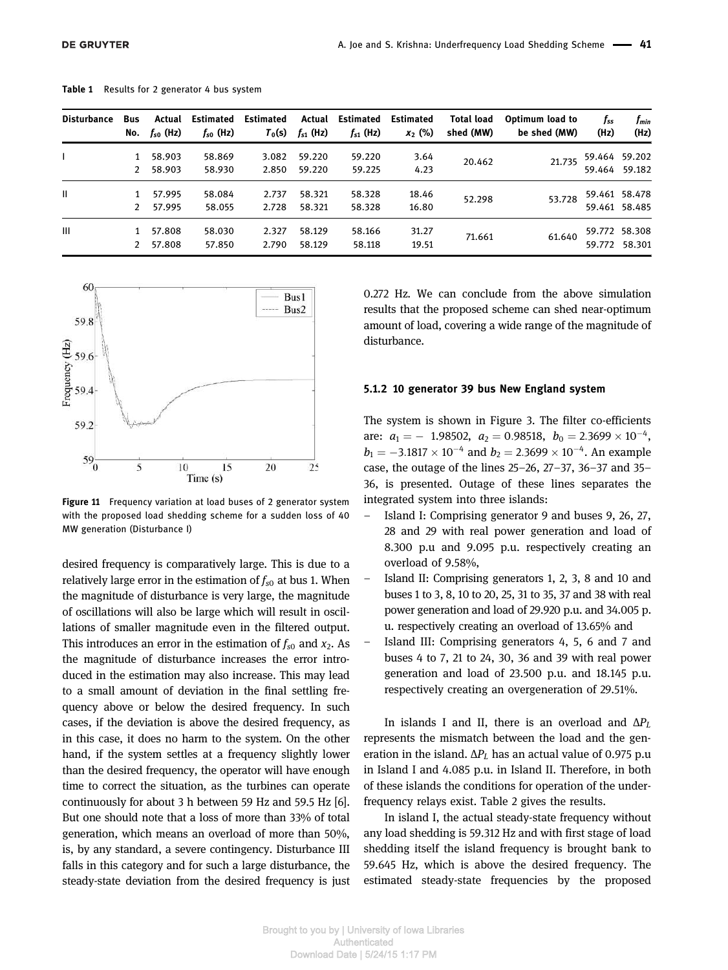| <b>Disturbance</b> | <b>Bus</b><br>No. | Actual<br>$f_{s0}$ (Hz) | <b>Estimated</b><br>$f_{s0}$ (Hz) | <b>Estimated</b><br>$T_0(s)$ | Actual<br>$f_{s1}$ (Hz) | Estimated<br>$f_{s1}$ (Hz) | <b>Estimated</b><br>$x_2$ (%) | <b>Total load</b><br>shed (MW) | Optimum load to<br>be shed (MW) | fss<br>(Hz)   | f <sub>min</sub><br>(Hz)       |
|--------------------|-------------------|-------------------------|-----------------------------------|------------------------------|-------------------------|----------------------------|-------------------------------|--------------------------------|---------------------------------|---------------|--------------------------------|
|                    | 2                 | 58.903<br>58.903        | 58.869<br>58.930                  | 3.082<br>2.850               | 59.220<br>59.220        | 59.220<br>59.225           | 3.64<br>4.23                  | 20.462                         | 21.735                          | 59.464 59.202 | 59.464 59.182                  |
| Ш                  | $\mathbf{2}$      | 57.995<br>57.995        | 58.084<br>58.055                  | 2.737<br>2.728               | 58.321<br>58.321        | 58.328<br>58.328           | 18.46<br>16.80                | 52.298                         | 53.728                          |               | 59.461 58.478<br>59.461 58.485 |
| Ш                  |                   | 57.808<br>57.808        | 58.030<br>57.850                  | 2.327<br>2.790               | 58.129<br>58.129        | 58.166<br>58.118           | 31.27<br>19.51                | 71.661                         | 61.640                          | 59.772        | 59.772 58.308<br>58.301        |

Table 1 Results for 2 generator 4 bus system



Figure 11 Frequency variation at load buses of 2 generator system with the proposed load shedding scheme for a sudden loss of 40 MW generation (Disturbance I)

desired frequency is comparatively large. This is due to a relatively large error in the estimation of  $f_{s0}$  at bus 1. When the magnitude of disturbance is very large, the magnitude of oscillations will also be large which will result in oscillations of smaller magnitude even in the filtered output. This introduces an error in the estimation of  $f_{s0}$  and  $x_2$ . As the magnitude of disturbance increases the error introduced in the estimation may also increase. This may lead to a small amount of deviation in the final settling frequency above or below the desired frequency. In such cases, if the deviation is above the desired frequency, as in this case, it does no harm to the system. On the other hand, if the system settles at a frequency slightly lower than the desired frequency, the operator will have enough time to correct the situation, as the turbines can operate continuously for about 3 h between 59 Hz and 59.5 Hz [6]. But one should note that a loss of more than 33% of total generation, which means an overload of more than 50%, is, by any standard, a severe contingency. Disturbance III falls in this category and for such a large disturbance, the steady-state deviation from the desired frequency is just

0.272 Hz. We can conclude from the above simulation results that the proposed scheme can shed near-optimum amount of load, covering a wide range of the magnitude of disturbance.

#### 5.1.2 10 generator 39 bus New England system

The system is shown in Figure 3. The filter co-efficients are:  $a_1 = -$  1.98502,  $a_2 = 0.98518$ ,  $b_0 = 2.3699 \times 10^{-4}$ ,  $b_1 = -3.1817 \times 10^{-4}$  and  $b_2 = 2.3699 \times 10^{-4}$ . An example case, the outage of the lines 25–26, 27–37, 36–37 and 35– 36, is presented. Outage of these lines separates the integrated system into three islands:

- Island I: Comprising generator 9 and buses 9, 26, 27, 28 and 29 with real power generation and load of 8.300 p.u and 9.095 p.u. respectively creating an overload of 9.58%,
- Island II: Comprising generators 1, 2, 3, 8 and 10 and buses 1 to 3, 8, 10 to 20, 25, 31 to 35, 37 and 38 with real power generation and load of 29.920 p.u. and 34.005 p. u. respectively creating an overload of 13.65% and
- Island III: Comprising generators 4, 5, 6 and 7 and buses 4 to 7, 21 to 24, 30, 36 and 39 with real power generation and load of 23.500 p.u. and 18.145 p.u. respectively creating an overgeneration of 29.51%.

In islands I and II, there is an overload and  $\Delta P_L$ represents the mismatch between the load and the generation in the island.  $\Delta P_L$  has an actual value of 0.975 p.u in Island I and 4.085 p.u. in Island II. Therefore, in both of these islands the conditions for operation of the underfrequency relays exist. Table 2 gives the results.

In island I, the actual steady-state frequency without any load shedding is 59.312 Hz and with first stage of load shedding itself the island frequency is brought bank to 59.645 Hz, which is above the desired frequency. The estimated steady-state frequencies by the proposed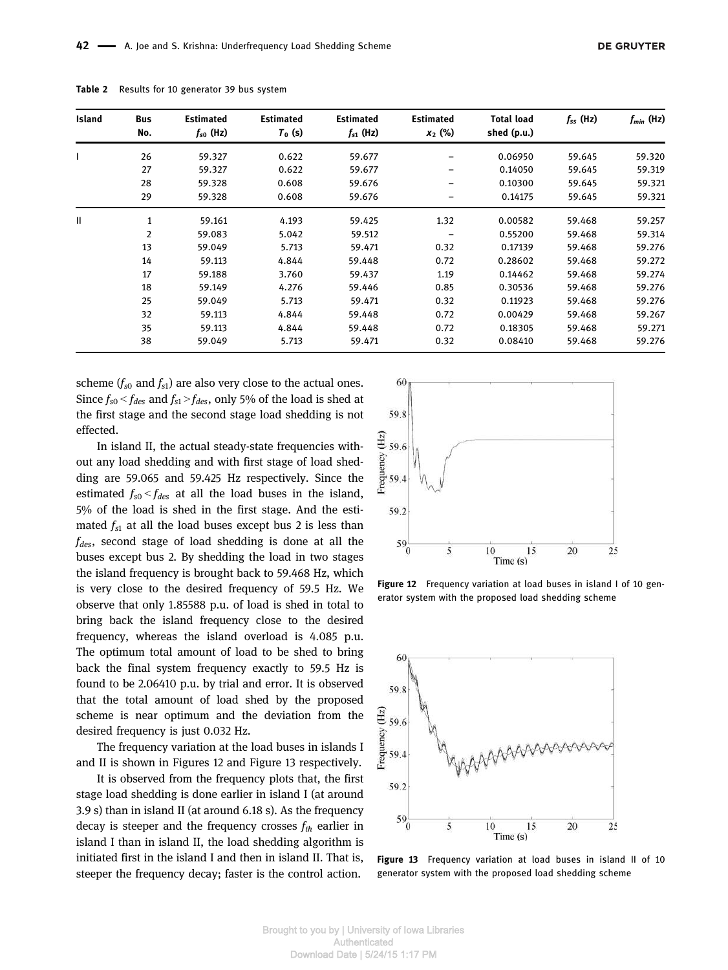| Island       | <b>Bus</b><br>No. | <b>Estimated</b><br>$f_{s0}$ (Hz) | <b>Estimated</b><br>$T_0$ (s) | <b>Estimated</b><br>$f_{s1}$ (Hz) | <b>Estimated</b><br>$x_2$ (%) | <b>Total load</b><br>shed (p.u.) | $f_{ss}$ (Hz) | $f_{min}$ (Hz) |
|--------------|-------------------|-----------------------------------|-------------------------------|-----------------------------------|-------------------------------|----------------------------------|---------------|----------------|
|              | 26                | 59.327                            | 0.622                         | 59.677                            | -                             | 0.06950                          | 59.645        | 59.320         |
|              | 27                | 59.327                            | 0.622                         | 59.677                            | -                             | 0.14050                          | 59.645        | 59.319         |
|              | 28                | 59.328                            | 0.608                         | 59.676                            | -                             | 0.10300                          | 59.645        | 59.321         |
|              | 29                | 59.328                            | 0.608                         | 59.676                            |                               | 0.14175                          | 59.645        | 59.321         |
| $\mathbf{H}$ | 1                 | 59.161                            | 4.193                         | 59.425                            | 1.32                          | 0.00582                          | 59.468        | 59.257         |
|              | $\overline{2}$    | 59.083                            | 5.042                         | 59.512                            |                               | 0.55200                          | 59.468        | 59.314         |
|              | 13                | 59.049                            | 5.713                         | 59.471                            | 0.32                          | 0.17139                          | 59.468        | 59.276         |
|              | 14                | 59.113                            | 4.844                         | 59.448                            | 0.72                          | 0.28602                          | 59.468        | 59.272         |
|              | 17                | 59.188                            | 3.760                         | 59.437                            | 1.19                          | 0.14462                          | 59.468        | 59.274         |
|              | 18                | 59.149                            | 4.276                         | 59.446                            | 0.85                          | 0.30536                          | 59.468        | 59.276         |
|              | 25                | 59.049                            | 5.713                         | 59.471                            | 0.32                          | 0.11923                          | 59.468        | 59.276         |
|              | 32                | 59.113                            | 4.844                         | 59.448                            | 0.72                          | 0.00429                          | 59.468        | 59.267         |
|              | 35                | 59.113                            | 4.844                         | 59.448                            | 0.72                          | 0.18305                          | 59.468        | 59.271         |
|              | 38                | 59.049                            | 5.713                         | 59.471                            | 0.32                          | 0.08410                          | 59.468        | 59.276         |

Table 2 Results for 10 generator 39 bus system

scheme ( $f_{s0}$  and  $f_{s1}$ ) are also very close to the actual ones. Since  $f_{s0} < f_{des}$  and  $f_{s1} > f_{des}$ , only 5% of the load is shed at the first stage and the second stage load shedding is not effected.

In island II, the actual steady-state frequencies without any load shedding and with first stage of load shedding are 59.065 and 59.425 Hz respectively. Since the estimated  $f_{s0} < f_{des}$  at all the load buses in the island, 5% of the load is shed in the first stage. And the estimated  $f_{s1}$  at all the load buses except bus 2 is less than  $f_{des}$ , second stage of load shedding is done at all the buses except bus 2. By shedding the load in two stages the island frequency is brought back to 59.468 Hz, which is very close to the desired frequency of 59.5 Hz. We observe that only 1.85588 p.u. of load is shed in total to bring back the island frequency close to the desired frequency, whereas the island overload is 4.085 p.u. The optimum total amount of load to be shed to bring back the final system frequency exactly to 59.5 Hz is found to be 2.06410 p.u. by trial and error. It is observed that the total amount of load shed by the proposed scheme is near optimum and the deviation from the desired frequency is just 0.032 Hz.

The frequency variation at the load buses in islands I and II is shown in Figures 12 and Figure 13 respectively.

It is observed from the frequency plots that, the first stage load shedding is done earlier in island I (at around 3.9 s) than in island II (at around 6.18 s). As the frequency decay is steeper and the frequency crosses  $f_{th}$  earlier in island I than in island II, the load shedding algorithm is initiated first in the island I and then in island II. That is, steeper the frequency decay; faster is the control action.



Figure 12 Frequency variation at load buses in island I of 10 generator system with the proposed load shedding scheme



Figure 13 Frequency variation at load buses in island II of 10 generator system with the proposed load shedding scheme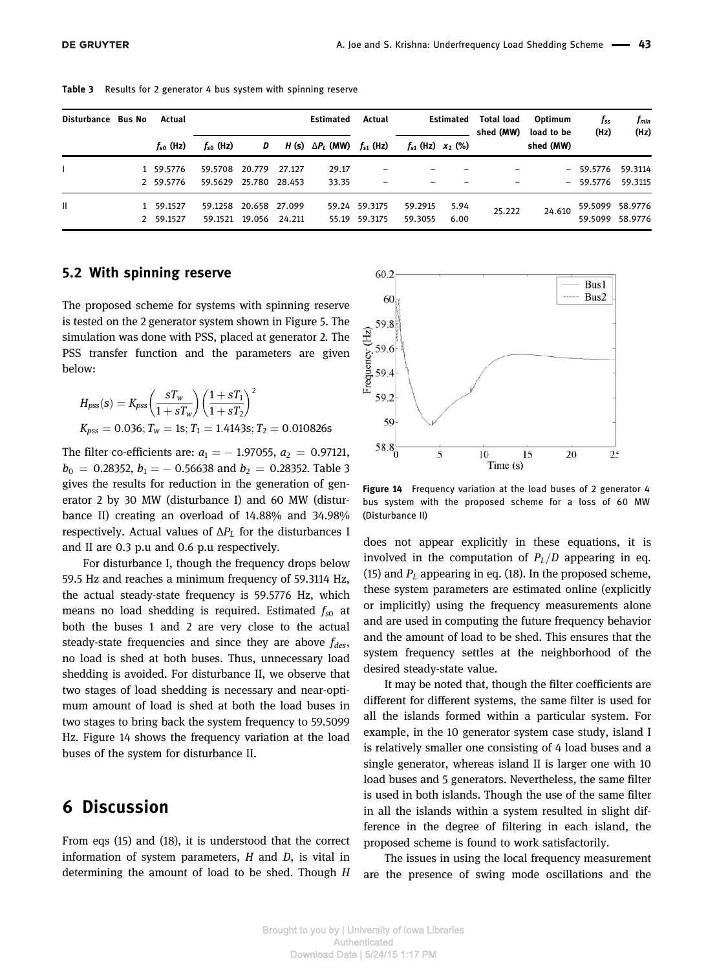| Disturbance Bus No | Actual                 |                                  |                       | <b>Estimated</b> |                                       | Actual                         |                         |              | <b>Estimated</b> Total load<br>shed (MW) | Optimum<br>load to be | $f_{ss}$<br>(Hz)                         | f <sub>min</sub><br>(Hz) |
|--------------------|------------------------|----------------------------------|-----------------------|------------------|---------------------------------------|--------------------------------|-------------------------|--------------|------------------------------------------|-----------------------|------------------------------------------|--------------------------|
|                    | $f_{\rm so}$ (Hz)      | $f_{s0}$ (Hz)                    | D                     |                  | H (s) $\Delta P_l$ (MW) $f_{s1}$ (Hz) |                                | $f_{s1}$ (Hz) $x_2$ (%) |              |                                          | shed (MW)             |                                          |                          |
|                    | 1 59.5776<br>2 59.5776 | 59.5708<br>59.5629 25.780 28.453 | 20.779 27.127         |                  | 29.17<br>33.35                        | $\overline{\phantom{0}}$       |                         |              |                                          |                       | $-59.5776$ 59.3114<br>$-59.5776$ 59.3115 |                          |
| $\mathbf{H}$       | 1 59.1527<br>2 59.1527 | 59.1258 20.658 27.099            | 59.1521 19.056 24.211 |                  |                                       | 59.24 59.3175<br>55.19 59.3175 | 59.2915<br>59.3055      | 5.94<br>6.00 | 25.222                                   | 24.610                | 59.5099 58.9776                          | 59.5099 58.9776          |

Table 3 Results for 2 generator 4 bus system with spinning reserve

### 5.2 With spinning reserve

The proposed scheme for systems with spinning reserve is tested on the 2 generator system shown in Figure 5. The simulation was done with PSS, placed at generator 2. The PSS transfer function and the parameters are given below:

$$
H_{pss}(s) = K_{pss} \left(\frac{sT_w}{1 + sT_w}\right) \left(\frac{1 + sT_1}{1 + sT_2}\right)^2
$$
  
\n
$$
K_{pss} = 0.036; T_w = 1s; T_1 = 1.4143s; T_2 = 0.010826s
$$

The filter co-efficients are:  $a_1 = -1.97055, a_2 = 0.97121,$  $b_0 = 0.28352$ ,  $b_1 = -$  0.56638 and  $b_2 = 0.28352$ . Table 3 gives the results for reduction in the generation of generator 2 by 30 MW (disturbance I) and 60 MW (disturbance II) creating an overload of 14.88% and 34.98% respectively. Actual values of  $\Delta P_L$  for the disturbances I and II are 0.3 p.u and 0.6 p.u respectively.

For disturbance I, though the frequency drops below 59.5 Hz and reaches a minimum frequency of 59.3114 Hz, the actual steady-state frequency is 59.5776 Hz, which means no load shedding is required. Estimated  $f_{s0}$  at both the buses 1 and 2 are very close to the actual steady-state frequencies and since they are above  $f_{des}$ , no load is shed at both buses. Thus, unnecessary load shedding is avoided. For disturbance II, we observe that two stages of load shedding is necessary and near-optimum amount of load is shed at both the load buses in two stages to bring back the system frequency to 59.5099 Hz. Figure 14 shows the frequency variation at the load buses of the system for disturbance II.

# 6 Discussion

From eqs (15) and (18), it is understood that the correct information of system parameters,  $H$  and  $D$ , is vital in determining the amount of load to be shed. Though H



Figure 14 Frequency variation at the load buses of 2 generator 4 bus system with the proposed scheme for a loss of 60 MW (Disturbance II)

does not appear explicitly in these equations, it is involved in the computation of  $P_L/D$  appearing in eq. (15) and  $P<sub>L</sub>$  appearing in eq. (18). In the proposed scheme, these system parameters are estimated online (explicitly or implicitly) using the frequency measurements alone and are used in computing the future frequency behavior and the amount of load to be shed. This ensures that the system frequency settles at the neighborhood of the desired steady-state value.

It may be noted that, though the filter coefficients are different for different systems, the same filter is used for all the islands formed within a particular system. For example, in the 10 generator system case study, island I is relatively smaller one consisting of 4 load buses and a single generator, whereas island II is larger one with 10 load buses and 5 generators. Nevertheless, the same filter is used in both islands. Though the use of the same filter in all the islands within a system resulted in slight difference in the degree of filtering in each island, the proposed scheme is found to work satisfactorily.

The issues in using the local frequency measurement are the presence of swing mode oscillations and the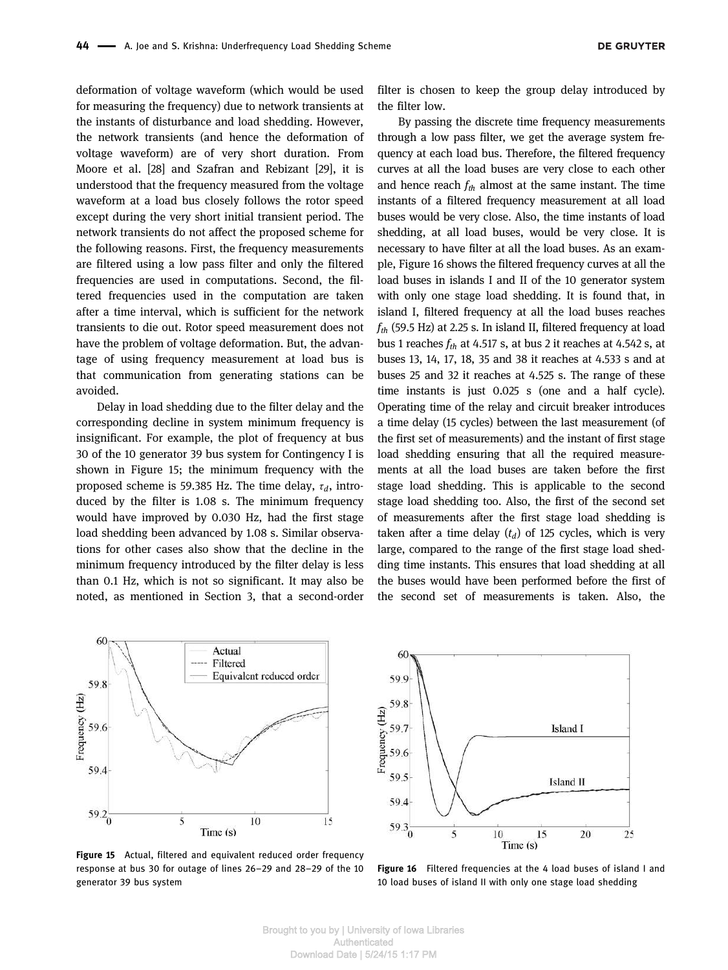deformation of voltage waveform (which would be used for measuring the frequency) due to network transients at the instants of disturbance and load shedding. However, the network transients (and hence the deformation of voltage waveform) are of very short duration. From Moore et al. [28] and Szafran and Rebizant [29], it is understood that the frequency measured from the voltage waveform at a load bus closely follows the rotor speed except during the very short initial transient period. The network transients do not affect the proposed scheme for the following reasons. First, the frequency measurements are filtered using a low pass filter and only the filtered frequencies are used in computations. Second, the filtered frequencies used in the computation are taken after a time interval, which is sufficient for the network transients to die out. Rotor speed measurement does not have the problem of voltage deformation. But, the advantage of using frequency measurement at load bus is that communication from generating stations can be avoided.

Delay in load shedding due to the filter delay and the corresponding decline in system minimum frequency is insignificant. For example, the plot of frequency at bus 30 of the 10 generator 39 bus system for Contingency I is shown in Figure 15; the minimum frequency with the proposed scheme is 59.385 Hz. The time delay,  $\tau_d$ , introduced by the filter is 1.08 s. The minimum frequency would have improved by 0.030 Hz, had the first stage load shedding been advanced by 1.08 s. Similar observations for other cases also show that the decline in the minimum frequency introduced by the filter delay is less than 0.1 Hz, which is not so significant. It may also be noted, as mentioned in Section 3, that a second-order filter is chosen to keep the group delay introduced by the filter low.

By passing the discrete time frequency measurements through a low pass filter, we get the average system frequency at each load bus. Therefore, the filtered frequency curves at all the load buses are very close to each other and hence reach  $f_{th}$  almost at the same instant. The time instants of a filtered frequency measurement at all load buses would be very close. Also, the time instants of load shedding, at all load buses, would be very close. It is necessary to have filter at all the load buses. As an example, Figure 16 shows the filtered frequency curves at all the load buses in islands I and II of the 10 generator system with only one stage load shedding. It is found that, in island I, filtered frequency at all the load buses reaches  $f_{th}$  (59.5 Hz) at 2.25 s. In island II, filtered frequency at load bus 1 reaches  $f_{th}$  at 4.517 s, at bus 2 it reaches at 4.542 s, at buses 13, 14, 17, 18, 35 and 38 it reaches at 4.533 s and at buses 25 and 32 it reaches at 4.525 s. The range of these time instants is just 0.025 s (one and a half cycle). Operating time of the relay and circuit breaker introduces a time delay (15 cycles) between the last measurement (of the first set of measurements) and the instant of first stage load shedding ensuring that all the required measurements at all the load buses are taken before the first stage load shedding. This is applicable to the second stage load shedding too. Also, the first of the second set of measurements after the first stage load shedding is taken after a time delay  $(t_d)$  of 125 cycles, which is very large, compared to the range of the first stage load shedding time instants. This ensures that load shedding at all the buses would have been performed before the first of the second set of measurements is taken. Also, the



Figure 15 Actual, filtered and equivalent reduced order frequency response at bus 30 for outage of lines 26–29 and 28–29 of the 10 generator 39 bus system



Figure 16 Filtered frequencies at the 4 load buses of island I and 10 load buses of island II with only one stage load shedding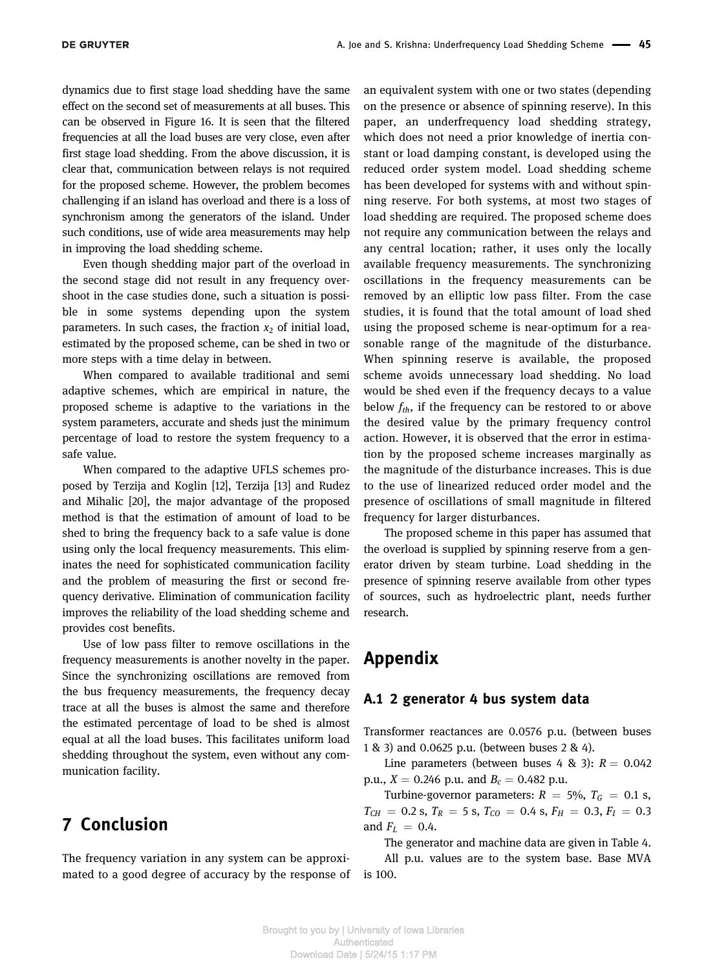dynamics due to first stage load shedding have the same effect on the second set of measurements at all buses. This can be observed in Figure 16. It is seen that the filtered frequencies at all the load buses are very close, even after first stage load shedding. From the above discussion, it is clear that, communication between relays is not required for the proposed scheme. However, the problem becomes challenging if an island has overload and there is a loss of synchronism among the generators of the island. Under such conditions, use of wide area measurements may help in improving the load shedding scheme.

Even though shedding major part of the overload in the second stage did not result in any frequency overshoot in the case studies done, such a situation is possible in some systems depending upon the system parameters. In such cases, the fraction  $x_2$  of initial load, estimated by the proposed scheme, can be shed in two or more steps with a time delay in between.

When compared to available traditional and semi adaptive schemes, which are empirical in nature, the proposed scheme is adaptive to the variations in the system parameters, accurate and sheds just the minimum percentage of load to restore the system frequency to a safe value.

When compared to the adaptive UFLS schemes proposed by Terzija and Koglin [12], Terzija [13] and Rudez and Mihalic [20], the major advantage of the proposed method is that the estimation of amount of load to be shed to bring the frequency back to a safe value is done using only the local frequency measurements. This eliminates the need for sophisticated communication facility and the problem of measuring the first or second frequency derivative. Elimination of communication facility improves the reliability of the load shedding scheme and provides cost benefits.

Use of low pass filter to remove oscillations in the frequency measurements is another novelty in the paper. Since the synchronizing oscillations are removed from the bus frequency measurements, the frequency decay trace at all the buses is almost the same and therefore the estimated percentage of load to be shed is almost equal at all the load buses. This facilitates uniform load shedding throughout the system, even without any communication facility.

# 7 Conclusion

The frequency variation in any system can be approximated to a good degree of accuracy by the response of an equivalent system with one or two states (depending on the presence or absence of spinning reserve). In this paper, an underfrequency load shedding strategy, which does not need a prior knowledge of inertia constant or load damping constant, is developed using the reduced order system model. Load shedding scheme has been developed for systems with and without spinning reserve. For both systems, at most two stages of load shedding are required. The proposed scheme does not require any communication between the relays and any central location; rather, it uses only the locally available frequency measurements. The synchronizing oscillations in the frequency measurements can be removed by an elliptic low pass filter. From the case studies, it is found that the total amount of load shed using the proposed scheme is near-optimum for a reasonable range of the magnitude of the disturbance. When spinning reserve is available, the proposed scheme avoids unnecessary load shedding. No load would be shed even if the frequency decays to a value below  $f_{th}$ , if the frequency can be restored to or above the desired value by the primary frequency control action. However, it is observed that the error in estimation by the proposed scheme increases marginally as the magnitude of the disturbance increases. This is due to the use of linearized reduced order model and the presence of oscillations of small magnitude in filtered frequency for larger disturbances.

The proposed scheme in this paper has assumed that the overload is supplied by spinning reserve from a generator driven by steam turbine. Load shedding in the presence of spinning reserve available from other types of sources, such as hydroelectric plant, needs further research.

# Appendix

### A.1 2 generator 4 bus system data

Transformer reactances are 0.0576 p.u. (between buses 1 & 3) and 0.0625 p.u. (between buses 2 & 4).

Line parameters (between buses 4 & 3):  $R = 0.042$ p.u.,  $X = 0.246$  p.u. and  $B_c = 0.482$  p.u.

Turbine-governor parameters:  $R = 5\%, T_G = 0.1$  s,  $T_{CH} = 0.2$  s,  $T_R = 5$  s,  $T_{CO} = 0.4$  s,  $F_H = 0.3$ ,  $F_I = 0.3$ and  $F_L = 0.4$ .

The generator and machine data are given in Table 4.

All p.u. values are to the system base. Base MVA is 100.